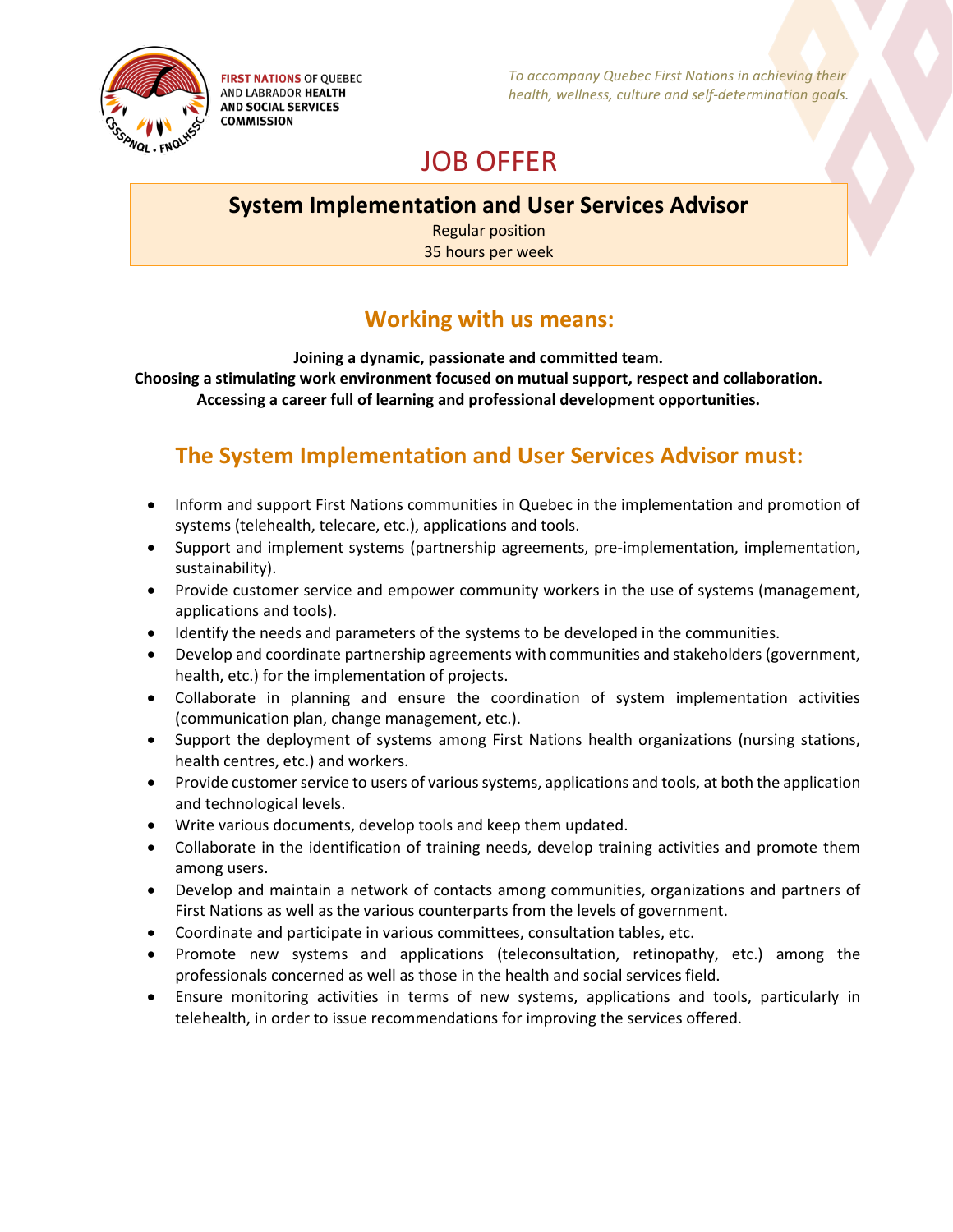

**FIRST NATIONS OF QUEBEC AND LABRADOR HEALTH AND SOCIAL SERVICES COMMISSION** 

*To accompany Quebec First Nations in achieving their health, wellness, culture and self-determination goals.*

# JOB OFFER

### **System Implementation and User Services Advisor**

Regular position 35 hours per week

### **Working with us means:**

**Joining a dynamic, passionate and committed team. Choosing a stimulating work environment focused on mutual support, respect and collaboration. Accessing a career full of learning and professional development opportunities.**

## **The System Implementation and User Services Advisor must:**

- Inform and support First Nations communities in Quebec in the implementation and promotion of systems (telehealth, telecare, etc.), applications and tools.
- Support and implement systems (partnership agreements, pre-implementation, implementation, sustainability).
- Provide customer service and empower community workers in the use of systems (management, applications and tools).
- Identify the needs and parameters of the systems to be developed in the communities.
- Develop and coordinate partnership agreements with communities and stakeholders (government, health, etc.) for the implementation of projects.
- Collaborate in planning and ensure the coordination of system implementation activities (communication plan, change management, etc.).
- Support the deployment of systems among First Nations health organizations (nursing stations, health centres, etc.) and workers.
- Provide customer service to users of various systems, applications and tools, at both the application and technological levels.
- Write various documents, develop tools and keep them updated.
- Collaborate in the identification of training needs, develop training activities and promote them among users.
- Develop and maintain a network of contacts among communities, organizations and partners of First Nations as well as the various counterparts from the levels of government.
- Coordinate and participate in various committees, consultation tables, etc.
- Promote new systems and applications (teleconsultation, retinopathy, etc.) among the professionals concerned as well as those in the health and social services field.
- Ensure monitoring activities in terms of new systems, applications and tools, particularly in telehealth, in order to issue recommendations for improving the services offered.